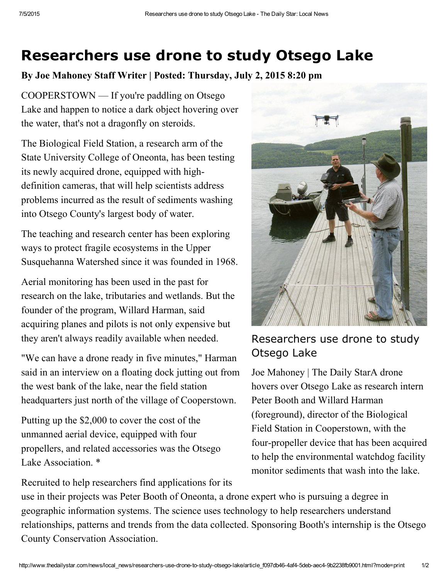## Researchers use drone to study Otsego Lake

By Joe Mahoney Staff Writer | Posted: Thursday, July 2, 2015 8:20 pm

COOPERSTOWN — If you're paddling on Otsego Lake and happen to notice a dark object hovering over the water, that's not a dragonfly on steroids.

The Biological Field Station, a research arm of the State University College of Oneonta, has been testing its newly acquired drone, equipped with highdefinition cameras, that will help scientists address problems incurred as the result of sediments washing into Otsego County's largest body of water.

The teaching and research center has been exploring ways to protect fragile ecosystems in the Upper Susquehanna Watershed since it was founded in 1968.

Aerial monitoring has been used in the past for research on the lake, tributaries and wetlands. But the founder of the program, Willard Harman, said acquiring planes and pilots is not only expensive but they aren't always readily available when needed.

"We can have a drone ready in five minutes," Harman said in an interview on a floating dock jutting out from the west bank of the lake, near the field station headquarters just north of the village of Cooperstown.

Putting up the \$2,000 to cover the cost of the unmanned aerial device, equipped with four propellers, and related accessories was the Otsego Lake Association<sup>\*</sup>

Recruited to help researchers find applications for its



## Researchers use drone to study Otsego Lake

Joe Mahoney | The Daily StarA drone hovers over Otsego Lake as research intern Peter Booth and Willard Harman (foreground), director of the Biological Field Station in Cooperstown, with the four-propeller device that has been acquired to help the environmental watchdog facility monitor sediments that wash into the lake.

use in their projects was Peter Booth of Oneonta, a drone expert who is pursuing a degree in geographic information systems. The science uses technology to help researchers understand relationships, patterns and trends from the data collected. Sponsoring Booth's internship is the Otsego County Conservation Association.